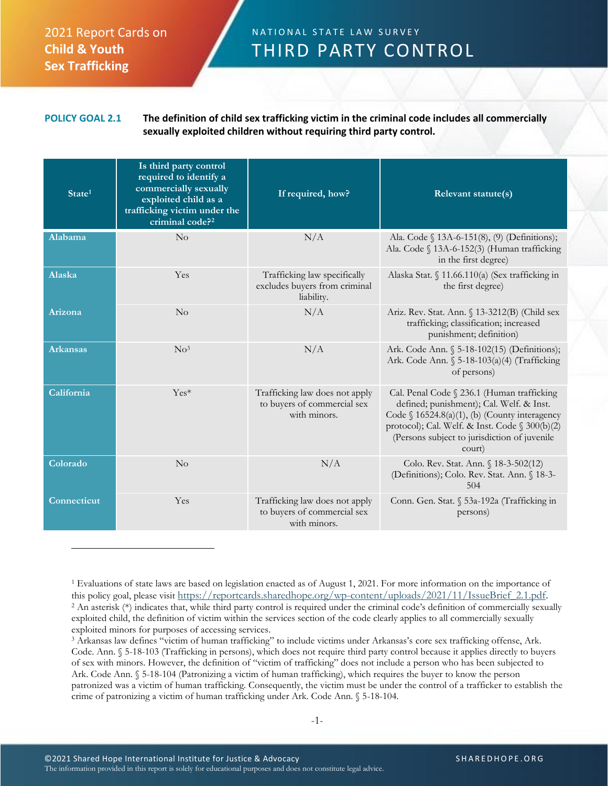## 2021 Report Cards on **Child & Youth Sex Trafficking**

## N A T I O N A L S T A T E L A W S U R V E Y THIRD PARTY CONTROL

## **POLICY GOAL 2.1 The definition of child sex trafficking victim in the criminal code includes all commercially sexually exploited children without requiring third party control.**

| State <sup>1</sup> | Is third party control<br>required to identify a<br>commercially sexually<br>exploited child as a<br>trafficking victim under the<br>criminal code? <sup>2</sup> | If required, how?                                                             | Relevant statute(s)                                                                                                                                                                                                                                    |
|--------------------|------------------------------------------------------------------------------------------------------------------------------------------------------------------|-------------------------------------------------------------------------------|--------------------------------------------------------------------------------------------------------------------------------------------------------------------------------------------------------------------------------------------------------|
| Alabama            | No                                                                                                                                                               | N/A                                                                           | Ala. Code § 13A-6-151(8), (9) (Definitions);<br>Ala. Code § 13A-6-152(3) (Human trafficking<br>in the first degree)                                                                                                                                    |
| Alaska             | Yes                                                                                                                                                              | Trafficking law specifically<br>excludes buyers from criminal<br>liability.   | Alaska Stat. § 11.66.110(a) (Sex trafficking in<br>the first degree)                                                                                                                                                                                   |
| Arizona            | $\rm No$                                                                                                                                                         | N/A                                                                           | Ariz. Rev. Stat. Ann. § 13-3212(B) (Child sex<br>trafficking; classification; increased<br>punishment; definition)                                                                                                                                     |
| <b>Arkansas</b>    | $N0$ <sup>3</sup>                                                                                                                                                | N/A                                                                           | Ark. Code Ann. § 5-18-102(15) (Definitions);<br>Ark. Code Ann. § 5-18-103(a)(4) (Trafficking<br>of persons)                                                                                                                                            |
| California         | $Yes*$                                                                                                                                                           | Trafficking law does not apply<br>to buyers of commercial sex<br>with minors. | Cal. Penal Code § 236.1 (Human trafficking<br>defined; punishment); Cal. Welf. & Inst.<br>Code $\S$ 16524.8(a)(1), (b) (County interagency<br>protocol); Cal. Welf. & Inst. Code § 300(b)(2)<br>(Persons subject to jurisdiction of juvenile<br>court) |
| Colorado           | $\rm No$                                                                                                                                                         | N/A                                                                           | Colo. Rev. Stat. Ann. § 18-3-502(12)<br>(Definitions); Colo. Rev. Stat. Ann. § 18-3-<br>504                                                                                                                                                            |
| <b>Connecticut</b> | Yes                                                                                                                                                              | Trafficking law does not apply<br>to buyers of commercial sex<br>with minors. | Conn. Gen. Stat. § 53a-192a (Trafficking in<br>persons)                                                                                                                                                                                                |

<sup>1</sup> Evaluations of state laws are based on legislation enacted as of August 1, 2021. For more information on the importance of this policy goal, please visit [https://reportcards.sharedhope.org/wp-content/uploads/2021/11/IssueBrief\\_2.1.pdf.](https://reportcards.sharedhope.org/wp-content/uploads/2021/11/IssueBrief_2.1.pdf) <sup>2</sup> An asterisk (\*) indicates that, while third party control is required under the criminal code's definition of commercially sexually exploited child, the definition of victim within the services section of the code clearly applies to all commercially sexually exploited minors for purposes of accessing services.

<sup>3</sup> Arkansas law defines "victim of human trafficking" to include victims under Arkansas's core sex trafficking offense, Ark. Code. Ann. § 5-18-103 (Trafficking in persons), which does not require third party control because it applies directly to buyers of sex with minors. However, the definition of "victim of trafficking" does not include a person who has been subjected to Ark. Code Ann. § 5-18-104 (Patronizing a victim of human trafficking), which requires the buyer to know the person patronized was a victim of human trafficking. Consequently, the victim must be under the control of a trafficker to establish the crime of patronizing a victim of human trafficking under Ark. Code Ann. § 5-18-104.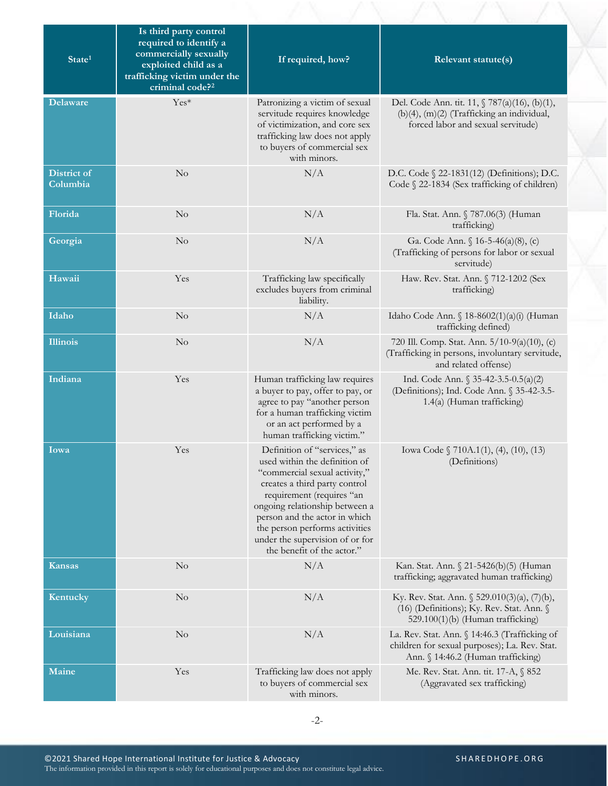| State <sup>1</sup>             | Is third party control<br>required to identify a<br>commercially sexually<br>exploited child as a<br>trafficking victim under the<br>criminal code? <sup>2</sup> | If required, how?                                                                                                                                                                                                                                                                                                                  | Relevant statute(s)                                                                                                                  |
|--------------------------------|------------------------------------------------------------------------------------------------------------------------------------------------------------------|------------------------------------------------------------------------------------------------------------------------------------------------------------------------------------------------------------------------------------------------------------------------------------------------------------------------------------|--------------------------------------------------------------------------------------------------------------------------------------|
| <b>Delaware</b>                | Yes*                                                                                                                                                             | Patronizing a victim of sexual<br>servitude requires knowledge<br>of victimization, and core sex<br>trafficking law does not apply<br>to buyers of commercial sex<br>with minors.                                                                                                                                                  | Del. Code Ann. tit. 11, § 787(a)(16), (b)(1),<br>(b)(4), (m)(2) (Trafficking an individual,<br>forced labor and sexual servitude)    |
| <b>District of</b><br>Columbia | $\rm No$                                                                                                                                                         | N/A                                                                                                                                                                                                                                                                                                                                | D.C. Code § 22-1831(12) (Definitions); D.C.<br>Code § 22-1834 (Sex trafficking of children)                                          |
| Florida                        | $\rm No$                                                                                                                                                         | N/A                                                                                                                                                                                                                                                                                                                                | Fla. Stat. Ann. § 787.06(3) (Human<br>trafficking)                                                                                   |
| Georgia                        | No                                                                                                                                                               | N/A                                                                                                                                                                                                                                                                                                                                | Ga. Code Ann. § 16-5-46(a)(8), (c)<br>(Trafficking of persons for labor or sexual<br>servitude)                                      |
| Hawaii                         | Yes                                                                                                                                                              | Trafficking law specifically<br>excludes buyers from criminal<br>liability.                                                                                                                                                                                                                                                        | Haw. Rev. Stat. Ann. § 712-1202 (Sex<br>trafficking)                                                                                 |
| Idaho                          | No                                                                                                                                                               | N/A                                                                                                                                                                                                                                                                                                                                | Idaho Code Ann. § 18-8602(1)(a)(i) (Human<br>trafficking defined)                                                                    |
| <b>Illinois</b>                | $\rm No$                                                                                                                                                         | N/A                                                                                                                                                                                                                                                                                                                                | 720 Ill. Comp. Stat. Ann. 5/10-9(a)(10), (c)<br>(Trafficking in persons, involuntary servitude,<br>and related offense)              |
| Indiana                        | Yes                                                                                                                                                              | Human trafficking law requires<br>a buyer to pay, offer to pay, or<br>agree to pay "another person<br>for a human trafficking victim<br>or an act performed by a<br>human trafficking victim."                                                                                                                                     | Ind. Code Ann. § 35-42-3.5-0.5(a)(2)<br>(Definitions); Ind. Code Ann. § 35-42-3.5-<br>1.4(a) (Human trafficking)                     |
| Iowa                           | Yes                                                                                                                                                              | Definition of "services," as<br>used within the definition of<br>"commercial sexual activity,"<br>creates a third party control<br>requirement (requires "an<br>ongoing relationship between a<br>person and the actor in which<br>the person performs activities<br>under the supervision of or for<br>the benefit of the actor." | Iowa Code § 710A.1(1), (4), (10), (13)<br>(Definitions)                                                                              |
| <b>Kansas</b>                  | $\rm No$                                                                                                                                                         | N/A                                                                                                                                                                                                                                                                                                                                | Kan. Stat. Ann. § 21-5426(b)(5) (Human<br>trafficking; aggravated human trafficking)                                                 |
| Kentucky                       | $\rm No$                                                                                                                                                         | N/A                                                                                                                                                                                                                                                                                                                                | Ky. Rev. Stat. Ann. § 529.010(3)(a), (7)(b),<br>(16) (Definitions); Ky. Rev. Stat. Ann. §<br>529.100(1)(b) (Human trafficking)       |
| Louisiana                      | $\rm No$                                                                                                                                                         | N/A                                                                                                                                                                                                                                                                                                                                | La. Rev. Stat. Ann. § 14:46.3 (Trafficking of<br>children for sexual purposes); La. Rev. Stat.<br>Ann. § 14:46.2 (Human trafficking) |
| Maine                          | Yes                                                                                                                                                              | Trafficking law does not apply<br>to buyers of commercial sex<br>with minors.                                                                                                                                                                                                                                                      | Me. Rev. Stat. Ann. tit. 17-A, § 852<br>(Aggravated sex trafficking)                                                                 |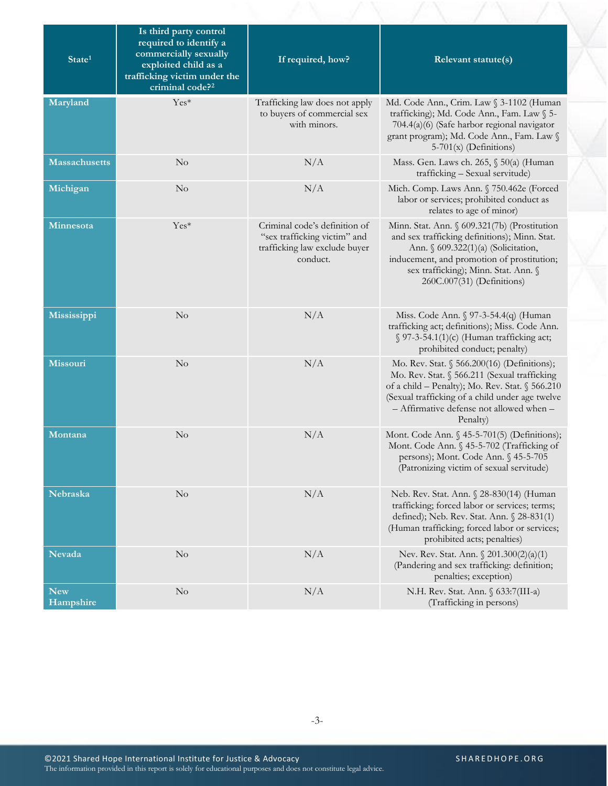| State <sup>1</sup>      | Is third party control<br>required to identify a<br>commercially sexually<br>exploited child as a<br>trafficking victim under the<br>criminal code? <sup>2</sup> | If required, how?                                                                                          | Relevant statute(s)                                                                                                                                                                                                                                       |
|-------------------------|------------------------------------------------------------------------------------------------------------------------------------------------------------------|------------------------------------------------------------------------------------------------------------|-----------------------------------------------------------------------------------------------------------------------------------------------------------------------------------------------------------------------------------------------------------|
| Maryland                | Yes*                                                                                                                                                             | Trafficking law does not apply<br>to buyers of commercial sex<br>with minors.                              | Md. Code Ann., Crim. Law § 3-1102 (Human<br>trafficking); Md. Code Ann., Fam. Law § 5-<br>704.4(a)(6) (Safe harbor regional navigator<br>grant program); Md. Code Ann., Fam. Law §<br>$5-701(x)$ (Definitions)                                            |
| <b>Massachusetts</b>    | $\rm No$                                                                                                                                                         | N/A                                                                                                        | Mass. Gen. Laws ch. 265, § 50(a) (Human<br>trafficking - Sexual servitude)                                                                                                                                                                                |
| Michigan                | $\rm No$                                                                                                                                                         | N/A                                                                                                        | Mich. Comp. Laws Ann. § 750.462e (Forced<br>labor or services; prohibited conduct as<br>relates to age of minor)                                                                                                                                          |
| Minnesota               | $Yes*$                                                                                                                                                           | Criminal code's definition of<br>"sex trafficking victim" and<br>trafficking law exclude buyer<br>conduct. | Minn. Stat. Ann. § 609.321(7b) (Prostitution<br>and sex trafficking definitions); Minn. Stat.<br>Ann. § 609.322(1)(a) (Solicitation,<br>inducement, and promotion of prostitution;<br>sex trafficking); Minn. Stat. Ann. §<br>260C.007(31) (Definitions)  |
| Mississippi             | No                                                                                                                                                               | N/A                                                                                                        | Miss. Code Ann. § 97-3-54.4(q) (Human<br>trafficking act; definitions); Miss. Code Ann.<br>$\S$ 97-3-54.1(1)(c) (Human trafficking act;<br>prohibited conduct; penalty)                                                                                   |
| Missouri                | $\rm No$                                                                                                                                                         | N/A                                                                                                        | Mo. Rev. Stat. § 566.200(16) (Definitions);<br>Mo. Rev. Stat. § 566.211 (Sexual trafficking<br>of a child - Penalty); Mo. Rev. Stat. § 566.210<br>(Sexual trafficking of a child under age twelve<br>- Affirmative defense not allowed when -<br>Penalty) |
| Montana                 | No                                                                                                                                                               | N/A                                                                                                        | Mont. Code Ann. § 45-5-701(5) (Definitions);<br>Mont. Code Ann. § 45-5-702 (Trafficking of<br>persons); Mont. Code Ann. § 45-5-705<br>(Patronizing victim of sexual servitude)                                                                            |
| Nebraska                | $\rm No$                                                                                                                                                         | N/A                                                                                                        | Neb. Rev. Stat. Ann. § 28-830(14) (Human<br>trafficking; forced labor or services; terms;<br>defined); Neb. Rev. Stat. Ann. § 28-831(1)<br>(Human trafficking; forced labor or services;<br>prohibited acts; penalties)                                   |
| <b>Nevada</b>           | No                                                                                                                                                               | N/A                                                                                                        | Nev. Rev. Stat. Ann. § 201.300(2)(a)(1)<br>(Pandering and sex trafficking: definition;<br>penalties; exception)                                                                                                                                           |
| <b>New</b><br>Hampshire | $\rm No$                                                                                                                                                         | N/A                                                                                                        | N.H. Rev. Stat. Ann. § 633:7(III-a)<br>(Trafficking in persons)                                                                                                                                                                                           |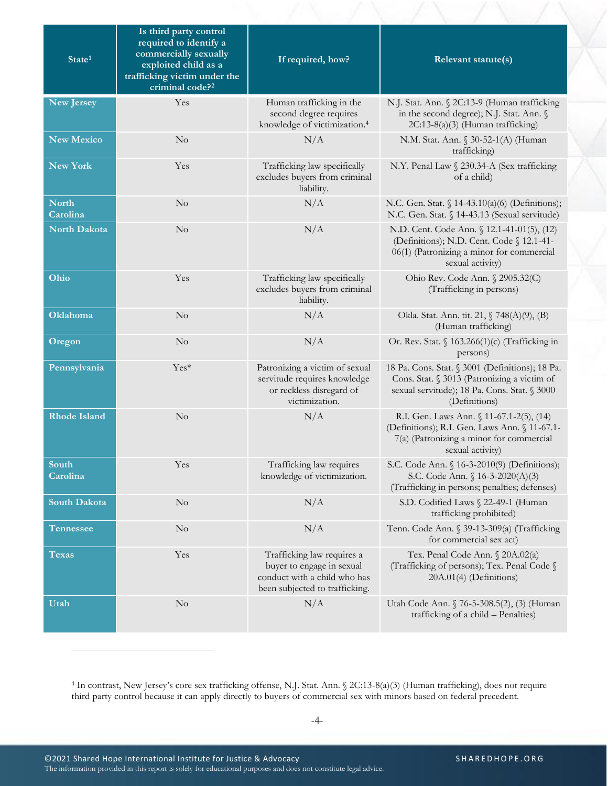| State <sup>1</sup>       | Is third party control<br>required to identify a<br>commercially sexually<br>exploited child as a<br>trafficking victim under the<br>criminal code? <sup>2</sup> | If required, how?                                                                                                         | Relevant statute(s)                                                                                                                                             |
|--------------------------|------------------------------------------------------------------------------------------------------------------------------------------------------------------|---------------------------------------------------------------------------------------------------------------------------|-----------------------------------------------------------------------------------------------------------------------------------------------------------------|
| New Jersey               | Yes                                                                                                                                                              | Human trafficking in the<br>second degree requires<br>knowledge of victimization. <sup>4</sup>                            | N.J. Stat. Ann. § 2C:13-9 (Human trafficking<br>in the second degree); N.J. Stat. Ann. §<br>2C:13-8(a)(3) (Human trafficking)                                   |
| New Mexico               | $\rm No$                                                                                                                                                         | N/A                                                                                                                       | N.M. Stat. Ann. § 30-52-1(A) (Human<br>trafficking)                                                                                                             |
| <b>New York</b>          | Yes                                                                                                                                                              | Trafficking law specifically<br>excludes buyers from criminal<br>liability.                                               | N.Y. Penal Law § 230.34-A (Sex trafficking<br>of a child)                                                                                                       |
| <b>North</b><br>Carolina | $\rm No$                                                                                                                                                         | N/A                                                                                                                       | N.C. Gen. Stat. § 14-43.10(a)(6) (Definitions);<br>N.C. Gen. Stat. § 14-43.13 (Sexual servitude)                                                                |
| <b>North Dakota</b>      | $\rm No$                                                                                                                                                         | N/A                                                                                                                       | N.D. Cent. Code Ann. § 12.1-41-01(5), (12)<br>(Definitions); N.D. Cent. Code § 12.1-41-<br>06(1) (Patronizing a minor for commercial<br>sexual activity)        |
| Ohio                     | Yes                                                                                                                                                              | Trafficking law specifically<br>excludes buyers from criminal<br>liability.                                               | Ohio Rev. Code Ann. § 2905.32(C)<br>(Trafficking in persons)                                                                                                    |
| Oklahoma                 | No                                                                                                                                                               | N/A                                                                                                                       | Okla. Stat. Ann. tit. 21, § 748(A)(9), (B)<br>(Human trafficking)                                                                                               |
| Oregon                   | $\rm No$                                                                                                                                                         | N/A                                                                                                                       | Or. Rev. Stat. § 163.266(1)(c) (Trafficking in<br>persons)                                                                                                      |
| Pennsylvania             | $Yes*$                                                                                                                                                           | Patronizing a victim of sexual<br>servitude requires knowledge<br>or reckless disregard of<br>victimization.              | 18 Pa. Cons. Stat. § 3001 (Definitions); 18 Pa.<br>Cons. Stat. § 3013 (Patronizing a victim of<br>sexual servitude); 18 Pa. Cons. Stat. § 3000<br>(Definitions) |
| <b>Rhode Island</b>      | $\rm No$                                                                                                                                                         | N/A                                                                                                                       | R.I. Gen. Laws Ann. § 11-67.1-2(5), (14)<br>(Definitions); R.I. Gen. Laws Ann. § 11-67.1-<br>7(a) (Patronizing a minor for commercial<br>sexual activity)       |
| South<br>Carolina        | Yes                                                                                                                                                              | Trafficking law requires<br>knowledge of victimization.                                                                   | S.C. Code Ann. § 16-3-2010(9) (Definitions);<br>S.C. Code Ann. § 16-3-2020(A)(3)<br>(Trafficking in persons; penalties; defenses)                               |
| South Dakota             | $\rm No$                                                                                                                                                         | N/A                                                                                                                       | S.D. Codified Laws § 22-49-1 (Human<br>trafficking prohibited)                                                                                                  |
| <b>Tennessee</b>         | $\rm No$                                                                                                                                                         | N/A                                                                                                                       | Tenn. Code Ann. § 39-13-309(a) (Trafficking<br>for commercial sex act)                                                                                          |
| <b>Texas</b>             | Yes                                                                                                                                                              | Trafficking law requires a<br>buyer to engage in sexual<br>conduct with a child who has<br>been subjected to trafficking. | Tex. Penal Code Ann. § 20A.02(a)<br>(Trafficking of persons); Tex. Penal Code §<br>20A.01(4) (Definitions)                                                      |
| Utah                     | $\rm No$                                                                                                                                                         | N/A                                                                                                                       | Utah Code Ann. § 76-5-308.5(2), (3) (Human<br>trafficking of a child - Penalties)                                                                               |

<sup>4</sup> In contrast, New Jersey's core sex trafficking offense, N.J. Stat. Ann. § 2C:13-8(a)(3) (Human trafficking), does not require third party control because it can apply directly to buyers of commercial sex with minors based on federal precedent.